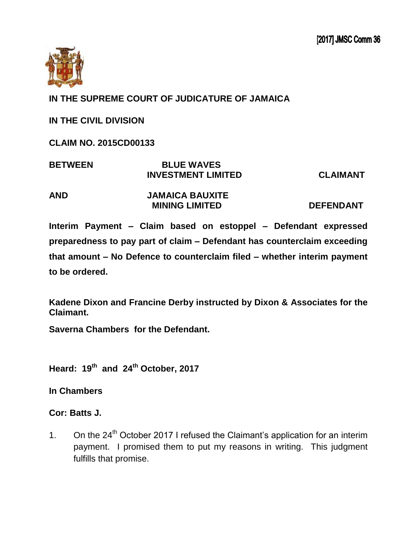

## **IN THE SUPREME COURT OF JUDICATURE OF JAMAICA**

**IN THE CIVIL DIVISION** 

**CLAIM NO. 2015CD00133**

| <b>BETWEEN</b> | <b>BLUE WAVES</b>         |                 |
|----------------|---------------------------|-----------------|
|                | <b>INVESTMENT LIMITED</b> | <b>CLAIMANT</b> |

**AND JAMAICA BAUXITE MINING LIMITED DEFENDANT** 

**Interim Payment – Claim based on estoppel – Defendant expressed preparedness to pay part of claim – Defendant has counterclaim exceeding that amount – No Defence to counterclaim filed – whether interim payment to be ordered.**

**Kadene Dixon and Francine Derby instructed by Dixon & Associates for the Claimant.**

**Saverna Chambers for the Defendant.** 

**Heard: 19 th and 24 th October, 2017**

**In Chambers**

**Cor: Batts J.**

1. On the  $24<sup>th</sup>$  October 2017 I refused the Claimant's application for an interim payment. I promised them to put my reasons in writing. This judgment fulfills that promise.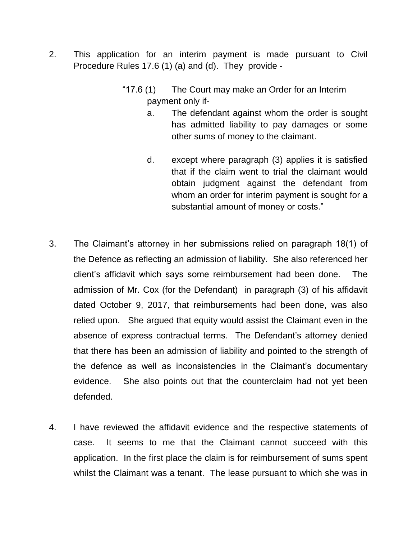- 2. This application for an interim payment is made pursuant to Civil Procedure Rules 17.6 (1) (a) and (d). They provide -
	- "17.6 (1) The Court may make an Order for an Interim payment only if
		- a. The defendant against whom the order is sought has admitted liability to pay damages or some other sums of money to the claimant.
		- d. except where paragraph (3) applies it is satisfied that if the claim went to trial the claimant would obtain judgment against the defendant from whom an order for interim payment is sought for a substantial amount of money or costs."
- 3. The Claimant's attorney in her submissions relied on paragraph 18(1) of the Defence as reflecting an admission of liability. She also referenced her client's affidavit which says some reimbursement had been done. The admission of Mr. Cox (for the Defendant) in paragraph (3) of his affidavit dated October 9, 2017, that reimbursements had been done, was also relied upon. She argued that equity would assist the Claimant even in the absence of express contractual terms. The Defendant's attorney denied that there has been an admission of liability and pointed to the strength of the defence as well as inconsistencies in the Claimant's documentary evidence. She also points out that the counterclaim had not yet been defended.
- 4. I have reviewed the affidavit evidence and the respective statements of case. It seems to me that the Claimant cannot succeed with this application. In the first place the claim is for reimbursement of sums spent whilst the Claimant was a tenant. The lease pursuant to which she was in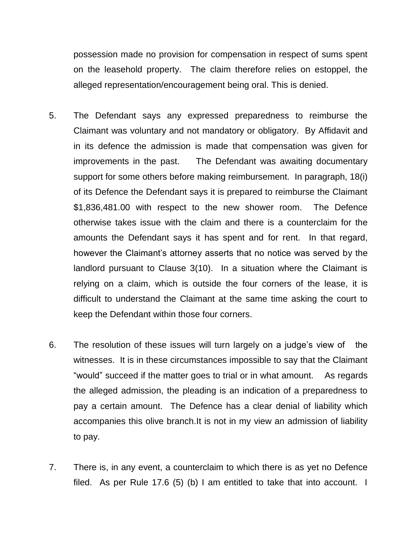possession made no provision for compensation in respect of sums spent on the leasehold property. The claim therefore relies on estoppel, the alleged representation/encouragement being oral. This is denied.

- 5. The Defendant says any expressed preparedness to reimburse the Claimant was voluntary and not mandatory or obligatory. By Affidavit and in its defence the admission is made that compensation was given for improvements in the past. The Defendant was awaiting documentary support for some others before making reimbursement. In paragraph, 18(i) of its Defence the Defendant says it is prepared to reimburse the Claimant \$1,836,481.00 with respect to the new shower room. The Defence otherwise takes issue with the claim and there is a counterclaim for the amounts the Defendant says it has spent and for rent. In that regard, however the Claimant's attorney asserts that no notice was served by the landlord pursuant to Clause 3(10). In a situation where the Claimant is relying on a claim, which is outside the four corners of the lease, it is difficult to understand the Claimant at the same time asking the court to keep the Defendant within those four corners.
- 6. The resolution of these issues will turn largely on a judge's view of the witnesses. It is in these circumstances impossible to say that the Claimant "would" succeed if the matter goes to trial or in what amount. As regards the alleged admission, the pleading is an indication of a preparedness to pay a certain amount. The Defence has a clear denial of liability which accompanies this olive branch.It is not in my view an admission of liability to pay.
- 7. There is, in any event, a counterclaim to which there is as yet no Defence filed. As per Rule 17.6 (5) (b) I am entitled to take that into account. I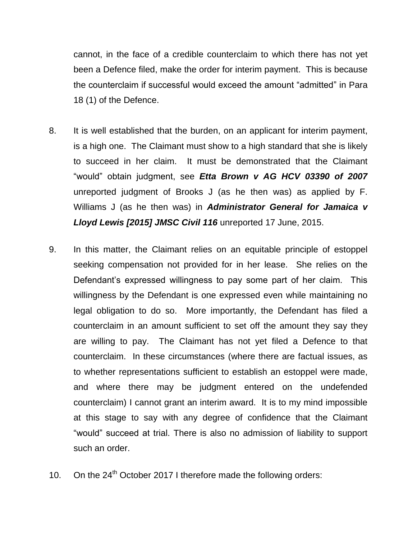cannot, in the face of a credible counterclaim to which there has not yet been a Defence filed, make the order for interim payment. This is because the counterclaim if successful would exceed the amount "admitted" in Para 18 (1) of the Defence.

- 8. It is well established that the burden, on an applicant for interim payment, is a high one. The Claimant must show to a high standard that she is likely to succeed in her claim. It must be demonstrated that the Claimant "would" obtain judgment, see *Etta Brown v AG HCV 03390 of 2007*  unreported judgment of Brooks J (as he then was) as applied by F. Williams J (as he then was) in *Administrator General for Jamaica v Lloyd Lewis [2015] JMSC Civil 116* unreported 17 June, 2015.
- 9. In this matter, the Claimant relies on an equitable principle of estoppel seeking compensation not provided for in her lease. She relies on the Defendant's expressed willingness to pay some part of her claim. This willingness by the Defendant is one expressed even while maintaining no legal obligation to do so. More importantly, the Defendant has filed a counterclaim in an amount sufficient to set off the amount they say they are willing to pay. The Claimant has not yet filed a Defence to that counterclaim. In these circumstances (where there are factual issues, as to whether representations sufficient to establish an estoppel were made, and where there may be judgment entered on the undefended counterclaim) I cannot grant an interim award. It is to my mind impossible at this stage to say with any degree of confidence that the Claimant "would" succeed at trial. There is also no admission of liability to support such an order.
- 10. On the  $24<sup>th</sup>$  October 2017 I therefore made the following orders: